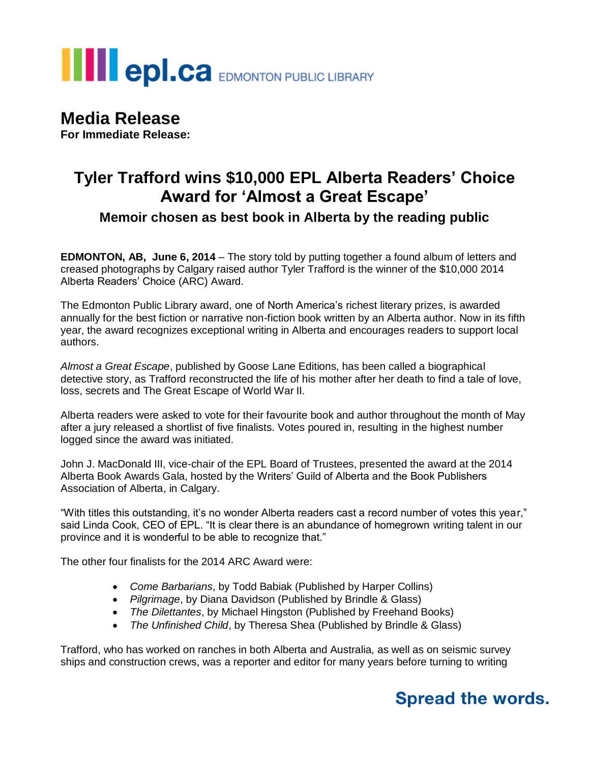# **THE POLCA** EDMONTON PUBLIC LIBRARY

## **Media Release**

**For Immediate Release:**

## **Tyler Trafford wins \$10,000 EPL Alberta Readers' Choice Award for 'Almost a Great Escape'**

### **Memoir chosen as best book in Alberta by the reading public**

**EDMONTON, AB, June 6, 2014** – The story told by putting together a found album of letters and creased photographs by Calgary raised author Tyler Trafford is the winner of the \$10,000 2014 Alberta Readers' Choice (ARC) Award.

The Edmonton Public Library award, one of North America's richest literary prizes, is awarded annually for the best fiction or narrative non-fiction book written by an Alberta author. Now in its fifth year, the award recognizes exceptional writing in Alberta and encourages readers to support local authors.

*Almost a Great Escape*, published by Goose Lane Editions, has been called a biographical detective story, as Trafford reconstructed the life of his mother after her death to find a tale of love, loss, secrets and The Great Escape of World War II.

Alberta readers were asked to vote for their favourite book and author throughout the month of May after a jury released a shortlist of five finalists. Votes poured in, resulting in the highest number logged since the award was initiated.

John J. MacDonald III, vice-chair of the EPL Board of Trustees, presented the award at the 2014 Alberta Book Awards Gala, hosted by the Writers' Guild of Alberta and the Book Publishers Association of Alberta, in Calgary.

"With titles this outstanding, it's no wonder Alberta readers cast a record number of votes this year," said Linda Cook, CEO of EPL. "It is clear there is an abundance of homegrown writing talent in our province and it is wonderful to be able to recognize that."

The other four finalists for the 2014 ARC Award were:

- *Come Barbarians*, by Todd Babiak (Published by Harper Collins)
- *Pilgrimage*, by Diana Davidson (Published by Brindle & Glass)
- *The Dilettantes*, by Michael Hingston (Published by Freehand Books)
- *The Unfinished Child*, by Theresa Shea (Published by Brindle & Glass)

Trafford, who has worked on ranches in both Alberta and Australia, as well as on seismic survey ships and construction crews, was a reporter and editor for many years before turning to writing

## **Spread the words.**